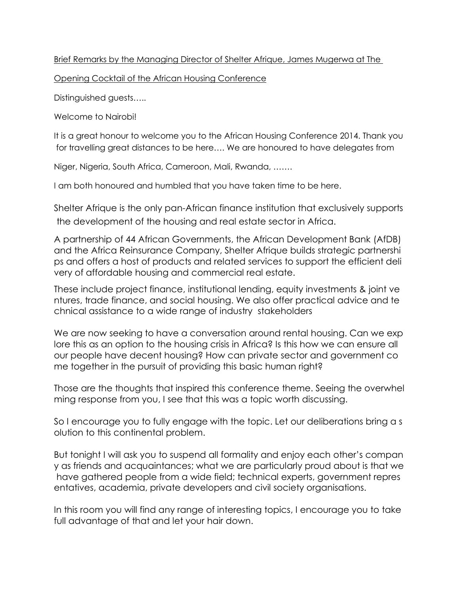## Brief Remarks by the Managing Director of Shelter Afrique, James Mugerwa at The

Opening Cocktail of the African Housing Conference

Distinguished guests…..

Welcome to Nairobi!

It is a great honour to welcome you to the African Housing Conference 2014. Thank you for travelling great distances to be here…. We are honoured to have delegates from

Niger, Nigeria, South Africa, Cameroon, Mali, Rwanda, …….

I am both honoured and humbled that you have taken time to be here.

Shelter Afrique is the only pan-African finance institution that exclusively supports the development of the housing and real estate sector in Africa.

A partnership of 44 African Governments, the African Development Bank (AfDB) and the Africa Reinsurance Company, Shelter Afrique builds strategic partnershi ps and offers a host of products and related services to support the efficient deli very of affordable housing and commercial real estate.

These include project finance, institutional lending, equity investments & joint ve ntures, trade finance, and social housing. We also offer practical advice and te chnical assistance to a wide range of industry stakeholders

We are now seeking to have a conversation around rental housing. Can we exp lore this as an option to the housing crisis in Africa? Is this how we can ensure all our people have decent housing? How can private sector and government co me together in the pursuit of providing this basic human right?

Those are the thoughts that inspired this conference theme. Seeing the overwhel ming response from you, I see that this was a topic worth discussing.

So I encourage you to fully engage with the topic. Let our deliberations bring a s olution to this continental problem.

But tonight I will ask you to suspend all formality and enjoy each other's compan y as friends and acquaintances; what we are particularly proud about is that we have gathered people from a wide field; technical experts, government repres entatives, academia, private developers and civil society organisations.

In this room you will find any range of interesting topics, I encourage you to take full advantage of that and let your hair down.